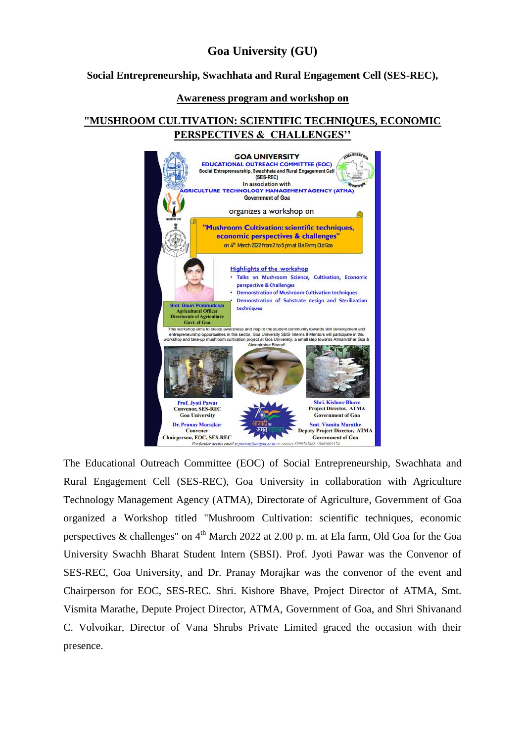# **Goa University (GU)**

## **Social Entrepreneurship, Swachhata and Rural Engagement Cell (SES-REC),**

### **Awareness program and workshop on**

## **"MUSHROOM CULTIVATION: SCIENTIFIC TECHNIQUES, ECONOMIC PERSPECTIVES & CHALLENGES''**



The Educational Outreach Committee (EOC) of Social Entrepreneurship, Swachhata and Rural Engagement Cell (SES-REC), Goa University in collaboration with Agriculture Technology Management Agency (ATMA), Directorate of Agriculture, Government of Goa organized a Workshop titled "Mushroom Cultivation: scientific techniques, economic perspectives & challenges" on  $4<sup>th</sup>$  March 2022 at 2.00 p. m. at Ela farm, Old Goa for the Goa University Swachh Bharat Student Intern (SBSI). Prof. Jyoti Pawar was the Convenor of SES-REC, Goa University, and Dr. Pranay Morajkar was the convenor of the event and Chairperson for EOC, SES-REC. Shri. Kishore Bhave, Project Director of ATMA, Smt. Vismita Marathe, Depute Project Director, ATMA, Government of Goa, and Shri Shivanand C. Volvoikar, Director of Vana Shrubs Private Limited graced the occasion with their presence.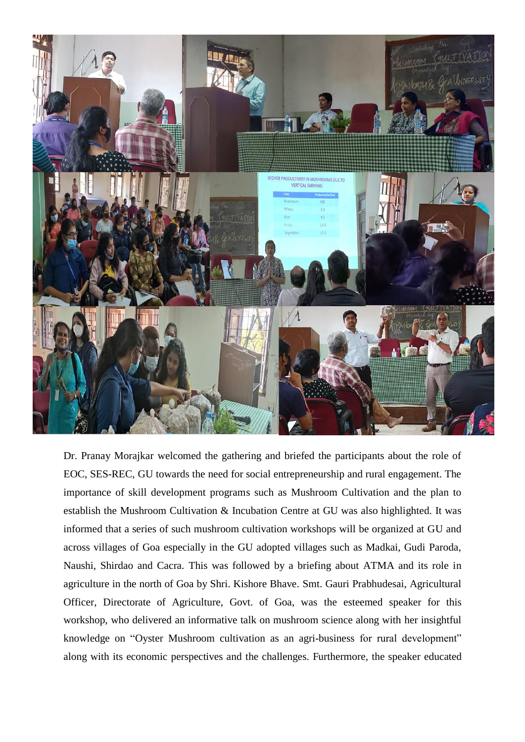

Dr. Pranay Morajkar welcomed the gathering and briefed the participants about the role of EOC, SES-REC, GU towards the need for social entrepreneurship and rural engagement. The importance of skill development programs such as Mushroom Cultivation and the plan to establish the Mushroom Cultivation & Incubation Centre at GU was also highlighted. It was informed that a series of such mushroom cultivation workshops will be organized at GU and across villages of Goa especially in the GU adopted villages such as Madkai, Gudi Paroda, Naushi, Shirdao and Cacra. This was followed by a briefing about ATMA and its role in agriculture in the north of Goa by Shri. Kishore Bhave. Smt. Gauri Prabhudesai, Agricultural Officer, Directorate of Agriculture, Govt. of Goa, was the esteemed speaker for this workshop, who delivered an informative talk on mushroom science along with her insightful knowledge on "Oyster Mushroom cultivation as an agri-business for rural development" along with its economic perspectives and the challenges. Furthermore, the speaker educated